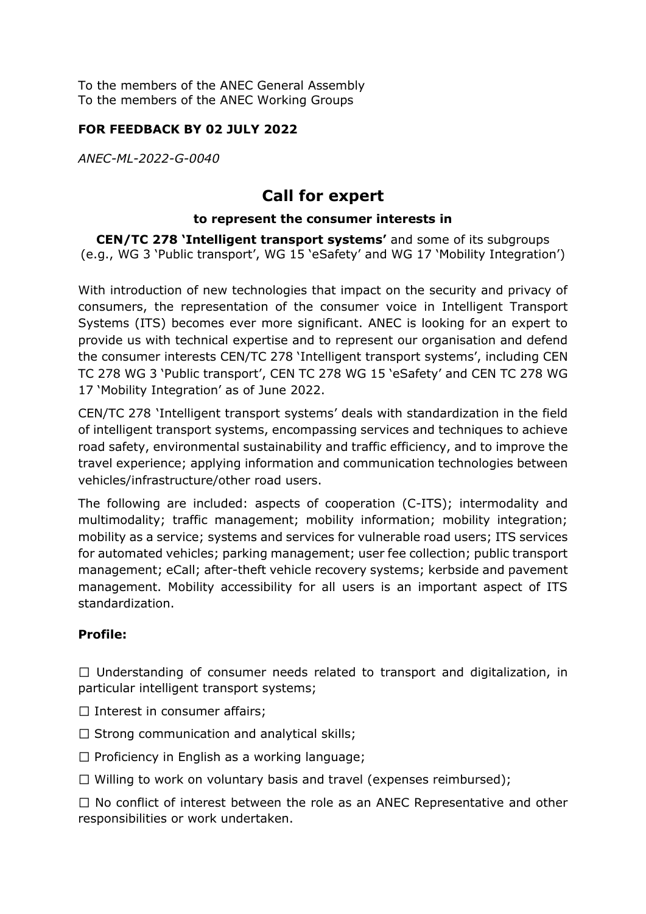To the members of the ANEC General Assembly To the members of the ANEC Working Groups

## **FOR FEEDBACK BY 02 JULY 2022**

*ANEC-ML-2022-G-0040*

# **Call for expert**

#### **to represent the consumer interests in**

**CEN/TC 278 'Intelligent transport systems'** and some of its subgroups (e.g., WG 3 'Public transport', WG 15 'eSafety' and WG 17 'Mobility Integration')

With introduction of new technologies that impact on the security and privacy of consumers, the representation of the consumer voice in Intelligent Transport Systems (ITS) becomes ever more significant. ANEC is looking for an expert to provide us with technical expertise and to represent our organisation and defend the consumer interests CEN/TC 278 'Intelligent transport systems', including CEN TC 278 WG 3 'Public transport', CEN TC 278 WG 15 'eSafety' and CEN TC 278 WG 17 'Mobility Integration' as of June 2022.

CEN/TC 278 'Intelligent transport systems' deals with standardization in the field of intelligent transport systems, encompassing services and techniques to achieve road safety, environmental sustainability and traffic efficiency, and to improve the travel experience; applying information and communication technologies between vehicles/infrastructure/other road users.

The following are included: aspects of cooperation (C-ITS); intermodality and multimodality; traffic management; mobility information; mobility integration; mobility as a service; systems and services for vulnerable road users; ITS services for automated vehicles; parking management; user fee collection; public transport management; eCall; after-theft vehicle recovery systems; kerbside and pavement management. Mobility accessibility for all users is an important aspect of ITS standardization.

# **Profile:**

 $\Box$  Understanding of consumer needs related to transport and digitalization, in particular intelligent transport systems;

- $\Box$  Interest in consumer affairs;
- $\Box$  Strong communication and analytical skills;
- $\Box$  Proficiency in English as a working language;
- $\Box$  Willing to work on voluntary basis and travel (expenses reimbursed);

 $\Box$  No conflict of interest between the role as an ANEC Representative and other responsibilities or work undertaken.